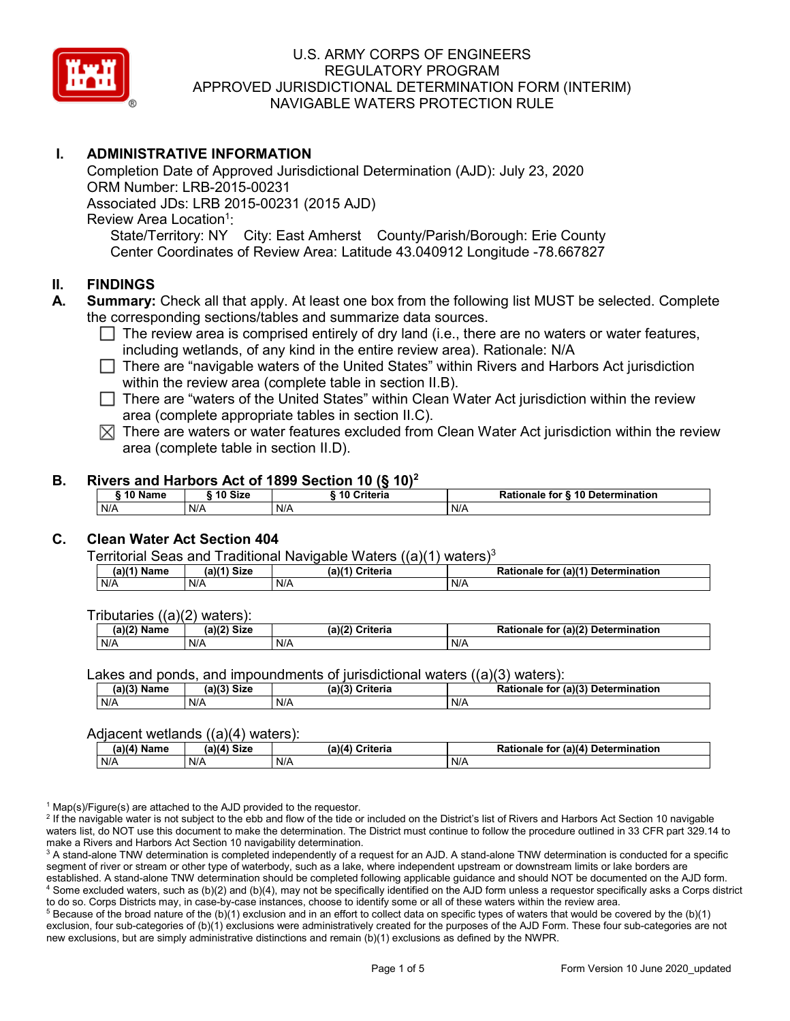

# **I. ADMINISTRATIVE INFORMATION**

Completion Date of Approved Jurisdictional Determination (AJD): July 23, 2020 ORM Number: LRB-2015-00231 Associated JDs: LRB 2015-00231 (2015 AJD) Review Area Location<sup>1</sup>: State/Territory: NY City: East Amherst County/Parish/Borough: Erie County Center Coordinates of Review Area: Latitude 43.040912 Longitude -78.667827

### **II. FINDINGS**

- **A. Summary:** Check all that apply. At least one box from the following list MUST be selected. Complete the corresponding sections/tables and summarize data sources.
	- $\Box$  The review area is comprised entirely of dry land (i.e., there are no waters or water features, including wetlands, of any kind in the entire review area). Rationale: N/A
	- There are "navigable waters of the United States" within Rivers and Harbors Act jurisdiction within the review area (complete table in section II.B).
	- $\Box$  There are "waters of the United States" within Clean Water Act jurisdiction within the review area (complete appropriate tables in section II.C).
	- $\boxtimes$  There are waters or water features excluded from Clean Water Act jurisdiction within the review area (complete table in section II.D).

### **B. Rivers and Harbors Act of 1899 Section 10 (§ 10)2**

| Name<br>ιu | 10 Size | --------<br><b>Criteria</b><br>፡ 10 | <b>S</b> 10 Determination<br>Rationale<br>for |  |  |  |
|------------|---------|-------------------------------------|-----------------------------------------------|--|--|--|
| N/A        | N/A     | N/A                                 | N/A                                           |  |  |  |

# **C. Clean Water Act Section 404**

Territorial Seas and Traditional Navigable Waters  $((a)(1)$  waters)<sup>3</sup>

| (a)(1`<br>Name | $(a)(1)$ Size | Criteria<br>$(a)$ <sup><math>\prime</math></sup> | (a)(1)<br>Determination<br><b>Dation</b><br>tor<br>Rationale |
|----------------|---------------|--------------------------------------------------|--------------------------------------------------------------|
| N/A            | N/A           | N/A                                              | N/A                                                          |

Tributaries ((a)(2) waters):

| (a)(2) Name | C <sub>1</sub><br>$\sim$ 10 <sup>1</sup><br>JIZE<br> | ेriteria<br>(a)(2) | (a)(2) Determination<br>Datian,<br>tor<br>nale<br>тіг |  |  |  |
|-------------|------------------------------------------------------|--------------------|-------------------------------------------------------|--|--|--|
| N/A         | N/A                                                  | N/A                | N/A                                                   |  |  |  |

Lakes and ponds, and impoundments of jurisdictional waters ((a)(3) waters):

| $(a)(3)$ M<br>Name | $(a)(3)$ Size | (a)(3)<br>Criteria<br>$\sim$ | for (a)(3) Determination<br><b>Rationale</b> |
|--------------------|---------------|------------------------------|----------------------------------------------|
| N/A                | N/A           | N/A                          | N/A                                          |

#### Adjacent wetlands ((a)(4) waters):

| $\cdots$<br>∖ Name<br>.a)(4 | -----<br>$(a)(4)$ Size | .<br>Criteria<br>(a)(4) | (a)(4) Determination<br>Rationale<br>for |  |  |
|-----------------------------|------------------------|-------------------------|------------------------------------------|--|--|
| N/A                         | N/A                    | N/A                     | N/A                                      |  |  |

 $1$  Map(s)/Figure(s) are attached to the AJD provided to the requestor.

<sup>2</sup> If the navigable water is not subject to the ebb and flow of the tide or included on the District's list of Rivers and Harbors Act Section 10 navigable waters list, do NOT use this document to make the determination. The District must continue to follow the procedure outlined in 33 CFR part 329.14 to make a Rivers and Harbors Act Section 10 navigability determination.

<sup>3</sup> A stand-alone TNW determination is completed independently of a request for an AJD. A stand-alone TNW determination is conducted for a specific segment of river or stream or other type of waterbody, such as a lake, where independent upstream or downstream limits or lake borders are established. A stand-alone TNW determination should be completed following applicable guidance and should NOT be documented on the AJD form. <sup>4</sup> Some excluded waters, such as (b)(2) and (b)(4), may not be specifically identified on the AJD form unless a requestor specifically asks a Corps district to do so. Corps Districts may, in case-by-case instances, choose to identify some or all of these waters within the review area.

 $5$  Because of the broad nature of the (b)(1) exclusion and in an effort to collect data on specific types of waters that would be covered by the (b)(1) exclusion, four sub-categories of (b)(1) exclusions were administratively created for the purposes of the AJD Form. These four sub-categories are not new exclusions, but are simply administrative distinctions and remain (b)(1) exclusions as defined by the NWPR.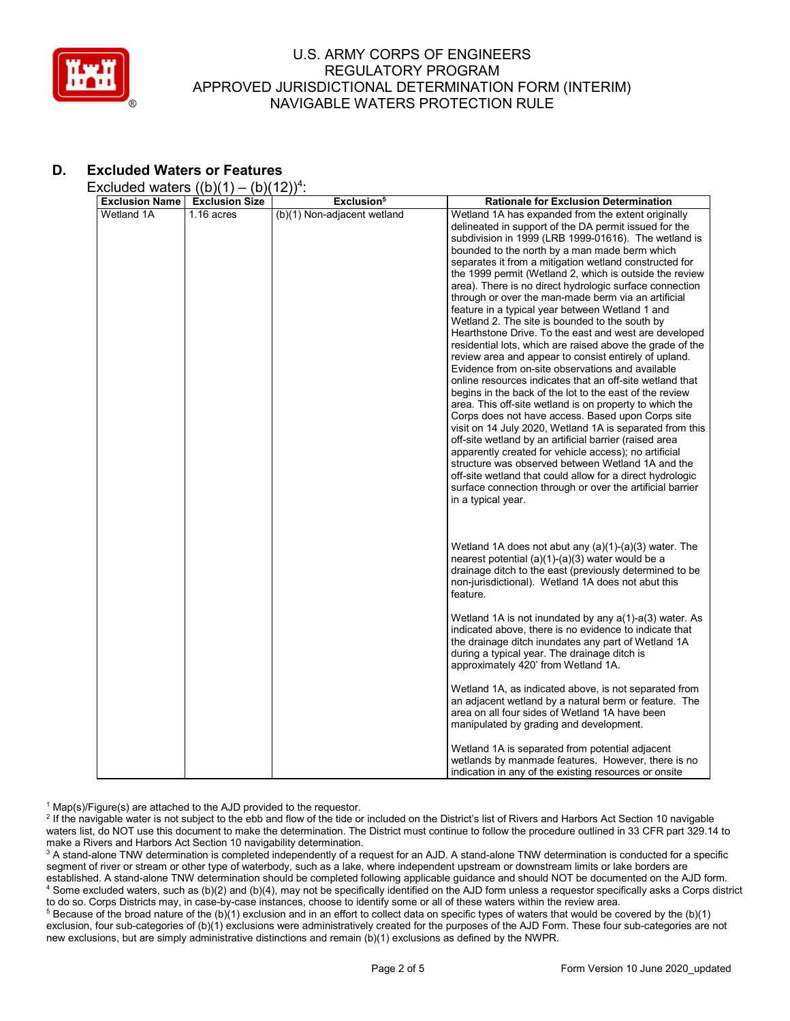

# **D. Excluded Waters or Features**

Excluded waters  $((b)(1) - (b)(12))^4$ :

| <b>Exclusion Name</b> | <b>Exclusion Size</b> | Exclusion <sup>5</sup>      | <b>Rationale for Exclusion Determination</b>                                                                                                                                                                                                                                                                                                                                                                                                                                                                                                                                                                                                                                                                                                                                                                                                                                                                                                                                                                                                                                                                                                                                                                                                                                                                                                                                                                                   |
|-----------------------|-----------------------|-----------------------------|--------------------------------------------------------------------------------------------------------------------------------------------------------------------------------------------------------------------------------------------------------------------------------------------------------------------------------------------------------------------------------------------------------------------------------------------------------------------------------------------------------------------------------------------------------------------------------------------------------------------------------------------------------------------------------------------------------------------------------------------------------------------------------------------------------------------------------------------------------------------------------------------------------------------------------------------------------------------------------------------------------------------------------------------------------------------------------------------------------------------------------------------------------------------------------------------------------------------------------------------------------------------------------------------------------------------------------------------------------------------------------------------------------------------------------|
| Wetland 1A            | $1.16$ acres          | (b)(1) Non-adjacent wetland | Wetland 1A has expanded from the extent originally<br>delineated in support of the DA permit issued for the<br>subdivision in 1999 (LRB 1999-01616). The wetland is<br>bounded to the north by a man made berm which<br>separates it from a mitigation wetland constructed for<br>the 1999 permit (Wetland 2, which is outside the review<br>area). There is no direct hydrologic surface connection<br>through or over the man-made berm via an artificial<br>feature in a typical year between Wetland 1 and<br>Wetland 2. The site is bounded to the south by<br>Hearthstone Drive. To the east and west are developed<br>residential lots, which are raised above the grade of the<br>review area and appear to consist entirely of upland.<br>Evidence from on-site observations and available<br>online resources indicates that an off-site wetland that<br>begins in the back of the lot to the east of the review<br>area. This off-site wetland is on property to which the<br>Corps does not have access. Based upon Corps site<br>visit on 14 July 2020, Wetland 1A is separated from this<br>off-site wetland by an artificial barrier (raised area<br>apparently created for vehicle access); no artificial<br>structure was observed between Wetland 1A and the<br>off-site wetland that could allow for a direct hydrologic<br>surface connection through or over the artificial barrier<br>in a typical year. |
|                       |                       |                             | Wetland 1A does not abut any (a)(1)-(a)(3) water. The<br>nearest potential $(a)(1)-(a)(3)$ water would be a<br>drainage ditch to the east (previously determined to be<br>non-jurisdictional). Wetland 1A does not abut this<br>feature.<br>Wetland 1A is not inundated by any $a(1)$ - $a(3)$ water. As<br>indicated above, there is no evidence to indicate that<br>the drainage ditch inundates any part of Wetland 1A<br>during a typical year. The drainage ditch is<br>approximately 420' from Wetland 1A.<br>Wetland 1A, as indicated above, is not separated from<br>an adjacent wetland by a natural berm or feature. The<br>area on all four sides of Wetland 1A have been                                                                                                                                                                                                                                                                                                                                                                                                                                                                                                                                                                                                                                                                                                                                           |
|                       |                       |                             | manipulated by grading and development.<br>Wetland 1A is separated from potential adjacent<br>wetlands by manmade features. However, there is no<br>indication in any of the existing resources or onsite                                                                                                                                                                                                                                                                                                                                                                                                                                                                                                                                                                                                                                                                                                                                                                                                                                                                                                                                                                                                                                                                                                                                                                                                                      |

 $1$  Map(s)/Figure(s) are attached to the AJD provided to the requestor.

<sup>2</sup> If the navigable water is not subject to the ebb and flow of the tide or included on the District's list of Rivers and Harbors Act Section 10 navigable waters list, do NOT use this document to make the determination. The District must continue to follow the procedure outlined in 33 CFR part 329.14 to make a Rivers and Harbors Act Section 10 navigability determination.

<sup>3</sup> A stand-alone TNW determination is completed independently of a request for an AJD. A stand-alone TNW determination is conducted for a specific segment of river or stream or other type of waterbody, such as a lake, where independent upstream or downstream limits or lake borders are established. A stand-alone TNW determination should be completed following applicable guidance and should NOT be documented on the AJD form. <sup>4</sup> Some excluded waters, such as (b)(2) and (b)(4), may not be specifically identified on the AJD form unless a requestor specifically asks a Corps district to do so. Corps Districts may, in case-by-case instances, choose to identify some or all of these waters within the review area.

 $5$  Because of the broad nature of the (b)(1) exclusion and in an effort to collect data on specific types of waters that would be covered by the (b)(1) exclusion, four sub-categories of (b)(1) exclusions were administratively created for the purposes of the AJD Form. These four sub-categories are not new exclusions, but are simply administrative distinctions and remain (b)(1) exclusions as defined by the NWPR.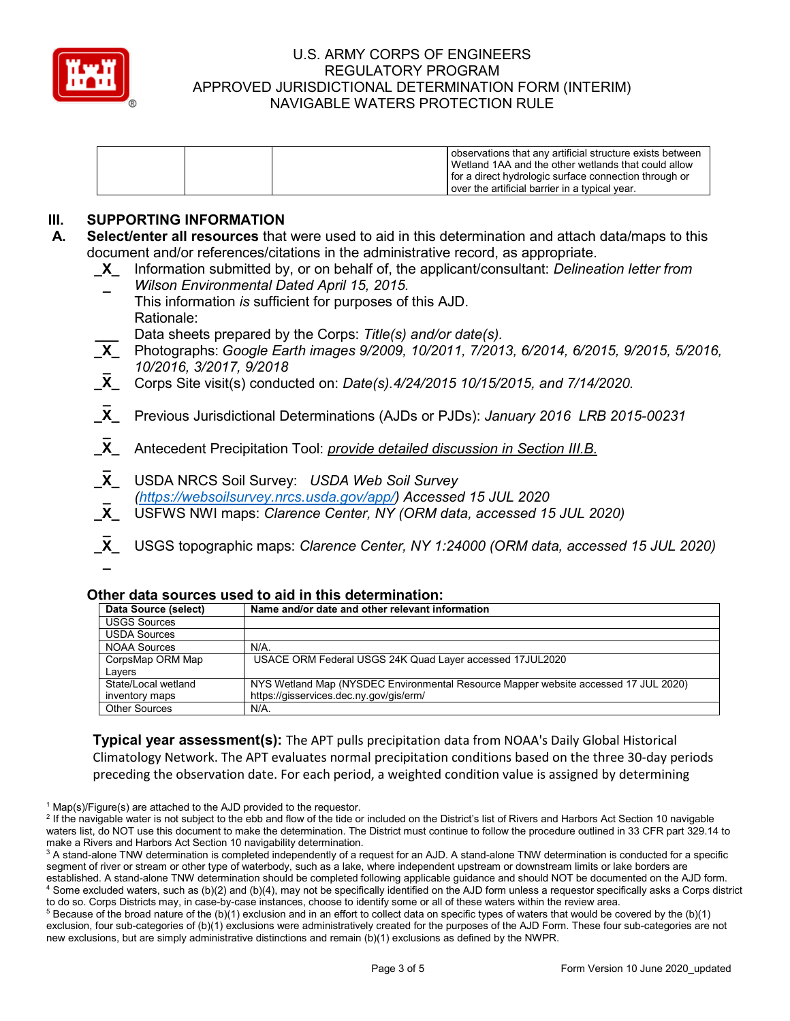

|  | I observations that any artificial structure exists between<br>l Wetland 1AA and the other wetlands that could allow |
|--|----------------------------------------------------------------------------------------------------------------------|
|  | for a direct hydrologic surface connection through or                                                                |
|  | lover the artificial barrier in a typical year.                                                                      |

# **III. SUPPORTING INFORMATION**

- **A. Select/enter all resources** that were used to aid in this determination and attach data/maps to this document and/or references/citations in the administrative record, as appropriate.
	- **\_X\_** Information submitted by, or on behalf of, the applicant/consultant: *Delineation letter from* 
		- **\_** *Wilson Environmental Dated April 15, 2015.*
	- This information *is* sufficient for purposes of this AJD. Rationale:

**\_\_\_** Data sheets prepared by the Corps: *Title(s) and/or date(s).*

- **\_X\_** Photographs: *Google Earth images 9/2009, 10/2011, 7/2013, 6/2014, 6/2015, 9/2015, 5/2016,*  **\_** *10/2016, 3/2017, 9/2018*
- **\_X\_** Corps Site visit(s) conducted on: *Date(s).4/24/2015 10/15/2015, and 7/14/2020.*
- **\_ \_X\_** Previous Jurisdictional Determinations (AJDs or PJDs): *January 2016 LRB 2015-00231*
- **\_ \_X\_** Antecedent Precipitation Tool: *provide detailed discussion in Section III.B.*
- **\_ \_X\_** USDA NRCS Soil Survey: *USDA Web Soil Survey* **\_** *[\(https://websoilsurvey.nrcs.usda.gov/app/\)](https://websoilsurvey.nrcs.usda.gov/app/) Accessed 15 JUL 2020*
- **\_X\_** USFWS NWI maps: *Clarence Center, NY (ORM data, accessed 15 JUL 2020)*
- **\_ \_X\_** USGS topographic maps: *Clarence Center, NY 1:24000 (ORM data, accessed 15 JUL 2020)* **\_**

### **Other data sources used to aid in this determination:**

| Data Source (select) | Name and/or date and other relevant information                                     |
|----------------------|-------------------------------------------------------------------------------------|
| <b>USGS Sources</b>  |                                                                                     |
| <b>USDA Sources</b>  |                                                                                     |
| <b>NOAA Sources</b>  | $N/A$ .                                                                             |
| CorpsMap ORM Map     | USACE ORM Federal USGS 24K Quad Layer accessed 17JUL2020                            |
| Lavers               |                                                                                     |
| State/Local wetland  | NYS Wetland Map (NYSDEC Environmental Resource Mapper website accessed 17 JUL 2020) |
| inventory maps       | https://gisservices.dec.ny.gov/gis/erm/                                             |
| <b>Other Sources</b> | $N/A$ .                                                                             |

**Typical year assessment(s):** The APT pulls precipitation data from NOAA's Daily Global Historical Climatology Network. The APT evaluates normal precipitation conditions based on the three 30-day periods preceding the observation date. For each period, a weighted condition value is assigned by determining

 $1$  Map(s)/Figure(s) are attached to the AJD provided to the requestor.

<sup>&</sup>lt;sup>2</sup> If the navigable water is not subject to the ebb and flow of the tide or included on the District's list of Rivers and Harbors Act Section 10 navigable waters list, do NOT use this document to make the determination. The District must continue to follow the procedure outlined in 33 CFR part 329.14 to make a Rivers and Harbors Act Section 10 navigability determination.

<sup>&</sup>lt;sup>3</sup> A stand-alone TNW determination is completed independently of a request for an AJD. A stand-alone TNW determination is conducted for a specific segment of river or stream or other type of waterbody, such as a lake, where independent upstream or downstream limits or lake borders are established. A stand-alone TNW determination should be completed following applicable guidance and should NOT be documented on the AJD form. <sup>4</sup> Some excluded waters, such as (b)(2) and (b)(4), may not be specifically identified on the AJD form unless a requestor specifically asks a Corps district to do so. Corps Districts may, in case-by-case instances, choose to identify some or all of these waters within the review area.

 $5$  Because of the broad nature of the (b)(1) exclusion and in an effort to collect data on specific types of waters that would be covered by the (b)(1) exclusion, four sub-categories of (b)(1) exclusions were administratively created for the purposes of the AJD Form. These four sub-categories are not new exclusions, but are simply administrative distinctions and remain (b)(1) exclusions as defined by the NWPR.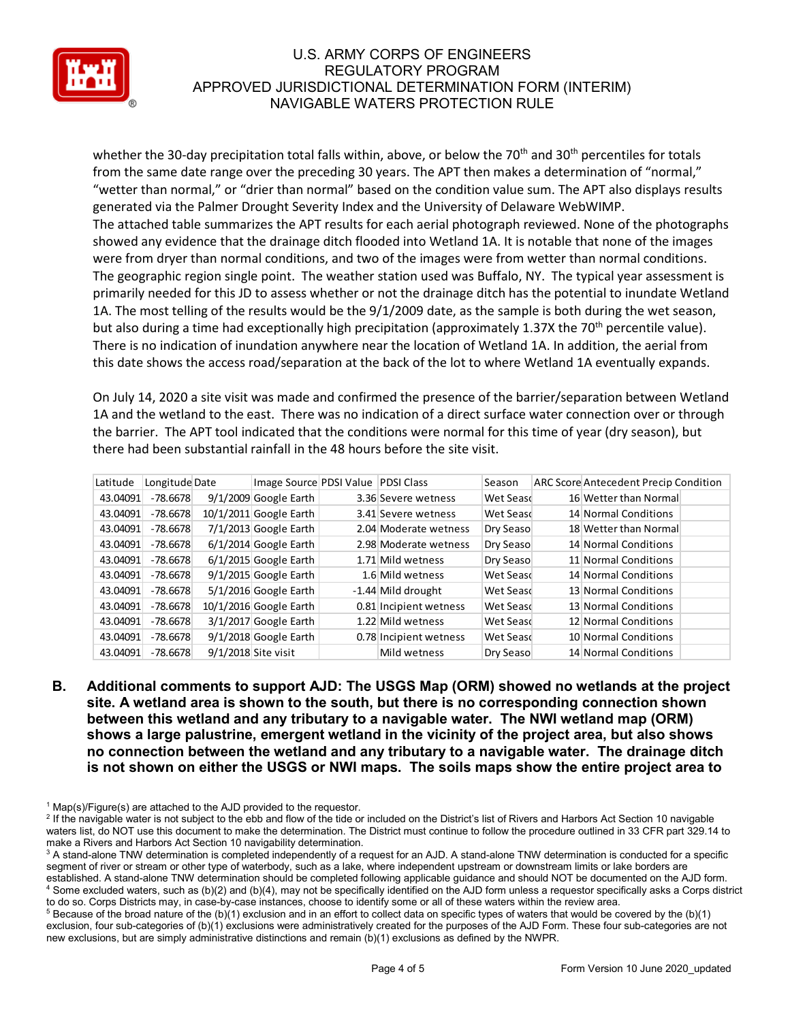

whether the 30-day precipitation total falls within, above, or below the 70<sup>th</sup> and 30<sup>th</sup> percentiles for totals from the same date range over the preceding 30 years. The APT then makes a determination of "normal," "wetter than normal," or "drier than normal" based on the condition value sum. The APT also displays results generated via the Palmer Drought Severity Index and the University of Delaware WebWIMP. The attached table summarizes the APT results for each aerial photograph reviewed. None of the photographs showed any evidence that the drainage ditch flooded into Wetland 1A. It is notable that none of the images were from dryer than normal conditions, and two of the images were from wetter than normal conditions. The geographic region single point. The weather station used was Buffalo, NY. The typical year assessment is primarily needed for this JD to assess whether or not the drainage ditch has the potential to inundate Wetland 1A. The most telling of the results would be the 9/1/2009 date, as the sample is both during the wet season, but also during a time had exceptionally high precipitation (approximately 1.37X the 70<sup>th</sup> percentile value). There is no indication of inundation anywhere near the location of Wetland 1A. In addition, the aerial from this date shows the access road/separation at the back of the lot to where Wetland 1A eventually expands.

On July 14, 2020 a site visit was made and confirmed the presence of the barrier/separation between Wetland 1A and the wetland to the east. There was no indication of a direct surface water connection over or through the barrier. The APT tool indicated that the conditions were normal for this time of year (dry season), but there had been substantial rainfall in the 48 hours before the site visit.

| Latitude | Longitude Date | Image Source PDSI Value | <b>PDSI Class</b>      | Season    | <b>ARC Score Antecedent Precip Condition</b> |
|----------|----------------|-------------------------|------------------------|-----------|----------------------------------------------|
| 43.04091 | $-78.6678$     | 9/1/2009 Google Earth   | 3.36 Severe wetness    | Wet Seasd | 16 Wetter than Normal                        |
| 43.04091 | $-78.6678$     | 10/1/2011 Google Earth  | 3.41 Severe wetness    | Wet Seasd | 14 Normal Conditions                         |
| 43.04091 | $-78.6678$     | 7/1/2013 Google Earth   | 2.04 Moderate wetness  | Dry Seaso | 18 Wetter than Normal                        |
| 43.04091 | $-78.6678$     | 6/1/2014 Google Earth   | 2.98 Moderate wetness  | Dry Seaso | 14 Normal Conditions                         |
| 43.04091 | $-78.6678$     | 6/1/2015 Google Earth   | 1.71 Mild wetness      | Dry Seaso | 11 Normal Conditions                         |
| 43.04091 | $-78.6678$     | 9/1/2015 Google Earth   | 1.6 Mild wetness       | Wet Seasd | 14 Normal Conditions                         |
| 43.04091 | $-78.6678$     | 5/1/2016 Google Earth   | -1.44 Mild drought     | Wet Seasd | 13 Normal Conditions                         |
| 43.04091 | $-78.6678$     | 10/1/2016 Google Earth  | 0.81 Incipient wetness | Wet Seasd | 13 Normal Conditions                         |
| 43.04091 | $-78.6678$     | 3/1/2017 Google Earth   | 1.22 Mild wetness      | Wet Seasd | 12 Normal Conditions                         |
| 43.04091 | $-78.6678$     | 9/1/2018 Google Earth   | 0.78 Incipient wetness | Wet Seasd | 10 Normal Conditions                         |
| 43.04091 | $-78.6678$     | 9/1/2018 Site visit     | Mild wetness           | Dry Seaso | 14 Normal Conditions                         |

**B. Additional comments to support AJD: The USGS Map (ORM) showed no wetlands at the project site. A wetland area is shown to the south, but there is no corresponding connection shown between this wetland and any tributary to a navigable water. The NWI wetland map (ORM) shows a large palustrine, emergent wetland in the vicinity of the project area, but also shows no connection between the wetland and any tributary to a navigable water. The drainage ditch is not shown on either the USGS or NWI maps. The soils maps show the entire project area to** 

 $1$  Map(s)/Figure(s) are attached to the AJD provided to the requestor.

<sup>&</sup>lt;sup>2</sup> If the navigable water is not subject to the ebb and flow of the tide or included on the District's list of Rivers and Harbors Act Section 10 navigable waters list, do NOT use this document to make the determination. The District must continue to follow the procedure outlined in 33 CFR part 329.14 to make a Rivers and Harbors Act Section 10 navigability determination.

<sup>&</sup>lt;sup>3</sup> A stand-alone TNW determination is completed independently of a request for an AJD. A stand-alone TNW determination is conducted for a specific segment of river or stream or other type of waterbody, such as a lake, where independent upstream or downstream limits or lake borders are established. A stand-alone TNW determination should be completed following applicable guidance and should NOT be documented on the AJD form. <sup>4</sup> Some excluded waters, such as (b)(2) and (b)(4), may not be specifically identified on the AJD form unless a requestor specifically asks a Corps district to do so. Corps Districts may, in case-by-case instances, choose to identify some or all of these waters within the review area.

 $5$  Because of the broad nature of the (b)(1) exclusion and in an effort to collect data on specific types of waters that would be covered by the (b)(1) exclusion, four sub-categories of (b)(1) exclusions were administratively created for the purposes of the AJD Form. These four sub-categories are not new exclusions, but are simply administrative distinctions and remain (b)(1) exclusions as defined by the NWPR.